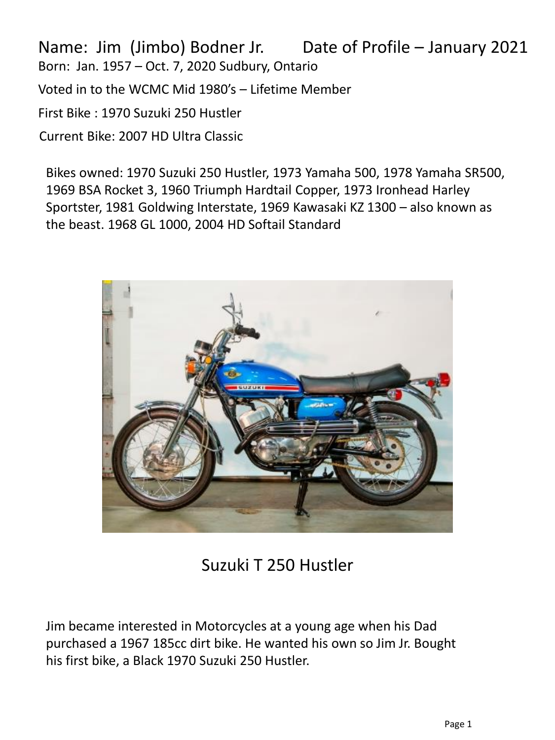Name: Jim (Jimbo) Bodner Jr. Date of Profile – January 2021Born: Jan. 1957 – Oct. 7, 2020 Sudbury, Ontario Voted in to the WCMC Mid 1980's – Lifetime Member First Bike : 1970 Suzuki 250 Hustler Current Bike: 2007 HD Ultra Classic

Bikes owned: 1970 Suzuki 250 Hustler, 1973 Yamaha 500, 1978 Yamaha SR500, 1969 BSA Rocket 3, 1960 Triumph Hardtail Copper, 1973 Ironhead Harley Sportster, 1981 Goldwing Interstate, 1969 Kawasaki KZ 1300 – also known as the beast. 1968 GL 1000, 2004 HD Softail Standard



## Suzuki T 250 Hustler

Jim became interested in Motorcycles at a young age when his Dad purchased a 1967 185cc dirt bike. He wanted his own so Jim Jr. Bought his first bike, a Black 1970 Suzuki 250 Hustler.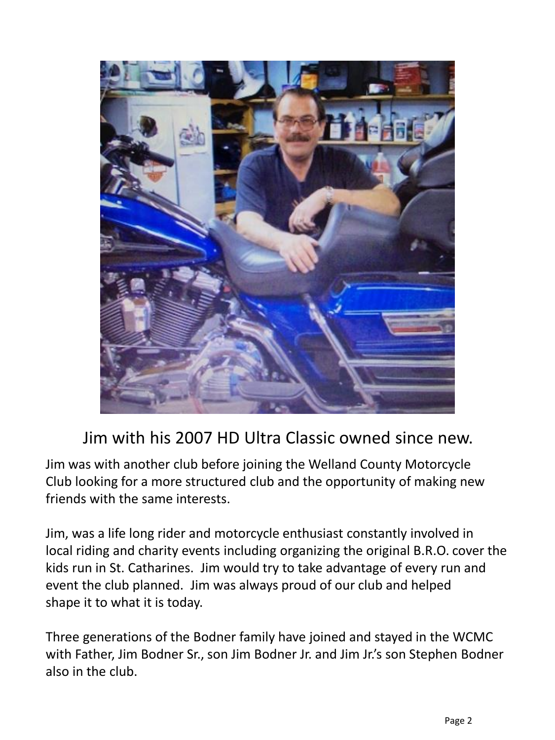

## Jim with his 2007 HD Ultra Classic owned since new.

Jim was with another club before joining the Welland County Motorcycle Club looking for a more structured club and the opportunity of making new friends with the same interests.

Jim, was a life long rider and motorcycle enthusiast constantly involved in local riding and charity events including organizing the original B.R.O. cover the kids run in St. Catharines. Jim would try to take advantage of every run and event the club planned. Jim was always proud of our club and helped shape it to what it is today.

Three generations of the Bodner family have joined and stayed in the WCMC with Father, Jim Bodner Sr., son Jim Bodner Jr. and Jim Jr.'s son Stephen Bodner also in the club.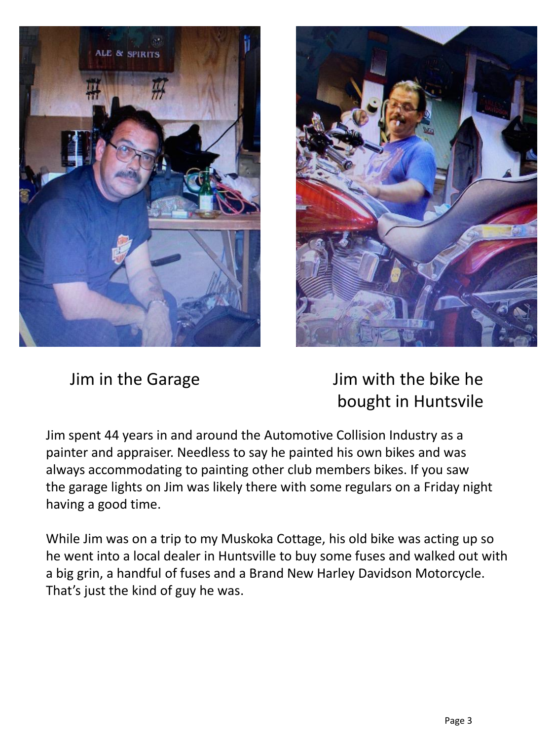



Jim in the Garage Jim with the bike he bought in Huntsvile

Jim spent 44 years in and around the Automotive Collision Industry as a painter and appraiser. Needless to say he painted his own bikes and was always accommodating to painting other club members bikes. If you saw the garage lights on Jim was likely there with some regulars on a Friday night having a good time.

While Jim was on a trip to my Muskoka Cottage, his old bike was acting up so he went into a local dealer in Huntsville to buy some fuses and walked out with a big grin, a handful of fuses and a Brand New Harley Davidson Motorcycle. That's just the kind of guy he was.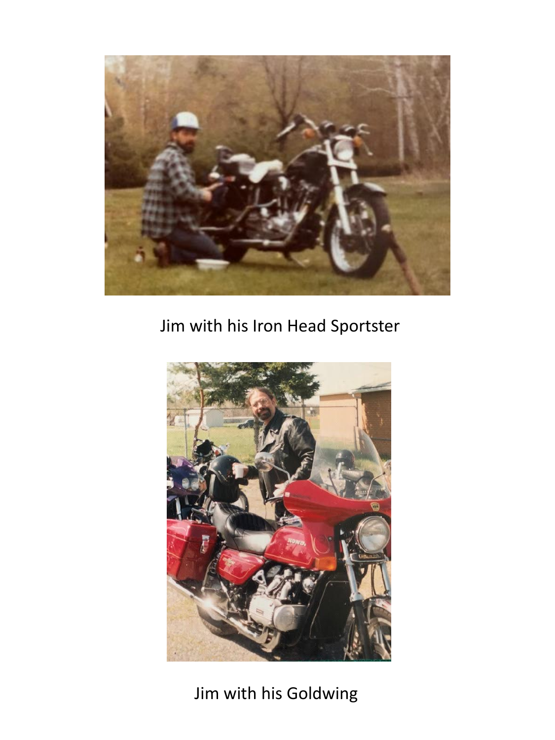

## Jim with his Iron Head Sportster



Jim with his Goldwing